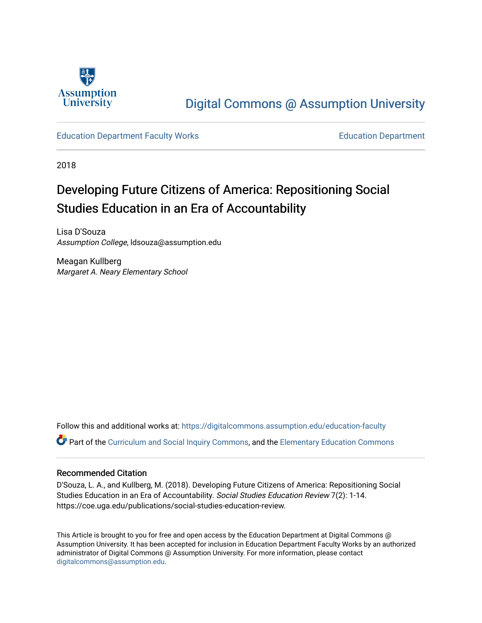

# [Digital Commons @ Assumption University](https://digitalcommons.assumption.edu/)

# [Education Department Faculty Works](https://digitalcommons.assumption.edu/education-faculty) [Education Department](https://digitalcommons.assumption.edu/education)

2018

# Developing Future Citizens of America: Repositioning Social Studies Education in an Era of Accountability

Lisa D'Souza Assumption College, ldsouza@assumption.edu

Meagan Kullberg Margaret A. Neary Elementary School

Follow this and additional works at: [https://digitalcommons.assumption.edu/education-faculty](https://digitalcommons.assumption.edu/education-faculty?utm_source=digitalcommons.assumption.edu%2Feducation-faculty%2F7&utm_medium=PDF&utm_campaign=PDFCoverPages)  Part of the [Curriculum and Social Inquiry Commons,](http://network.bepress.com/hgg/discipline/1038?utm_source=digitalcommons.assumption.edu%2Feducation-faculty%2F7&utm_medium=PDF&utm_campaign=PDFCoverPages) and the [Elementary Education Commons](http://network.bepress.com/hgg/discipline/1378?utm_source=digitalcommons.assumption.edu%2Feducation-faculty%2F7&utm_medium=PDF&utm_campaign=PDFCoverPages)

# Recommended Citation

D'Souza, L. A., and Kullberg, M. (2018). Developing Future Citizens of America: Repositioning Social Studies Education in an Era of Accountability. Social Studies Education Review 7(2): 1-14. https://coe.uga.edu/publications/social-studies-education-review.

This Article is brought to you for free and open access by the Education Department at Digital Commons @ Assumption University. It has been accepted for inclusion in Education Department Faculty Works by an authorized administrator of Digital Commons @ Assumption University. For more information, please contact [digitalcommons@assumption.edu](mailto:digitalcommons@assumption.edu).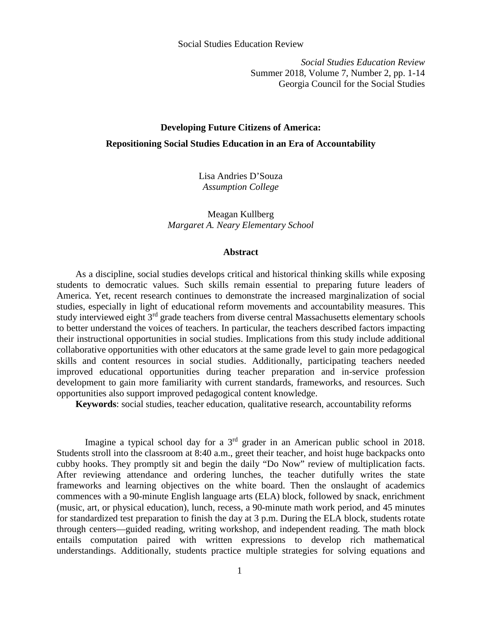*Social Studies Education Review*  Summer 2018, Volume 7, Number 2, pp. 1-14 Georgia Council for the Social Studies

# **Developing Future Citizens of America: Repositioning Social Studies Education in an Era of Accountability**

Lisa Andries D'Souza *Assumption College* 

Meagan Kullberg *Margaret A. Neary Elementary School* 

#### **Abstract**

 As a discipline, social studies develops critical and historical thinking skills while exposing students to democratic values. Such skills remain essential to preparing future leaders of America. Yet, recent research continues to demonstrate the increased marginalization of social studies, especially in light of educational reform movements and accountability measures. This study interviewed eight  $3<sup>rd</sup>$  grade teachers from diverse central Massachusetts elementary schools to better understand the voices of teachers. In particular, the teachers described factors impacting their instructional opportunities in social studies. Implications from this study include additional collaborative opportunities with other educators at the same grade level to gain more pedagogical skills and content resources in social studies. Additionally, participating teachers needed improved educational opportunities during teacher preparation and in-service profession development to gain more familiarity with current standards, frameworks, and resources. Such opportunities also support improved pedagogical content knowledge.

 **Keywords**: social studies, teacher education, qualitative research, accountability reforms

Imagine a typical school day for a 3rd grader in an American public school in 2018. Students stroll into the classroom at 8:40 a.m., greet their teacher, and hoist huge backpacks onto cubby hooks. They promptly sit and begin the daily "Do Now" review of multiplication facts. After reviewing attendance and ordering lunches, the teacher dutifully writes the state frameworks and learning objectives on the white board. Then the onslaught of academics commences with a 90-minute English language arts (ELA) block, followed by snack, enrichment (music, art, or physical education), lunch, recess, a 90-minute math work period, and 45 minutes for standardized test preparation to finish the day at 3 p.m. During the ELA block, students rotate through centers—guided reading, writing workshop, and independent reading. The math block entails computation paired with written expressions to develop rich mathematical understandings. Additionally, students practice multiple strategies for solving equations and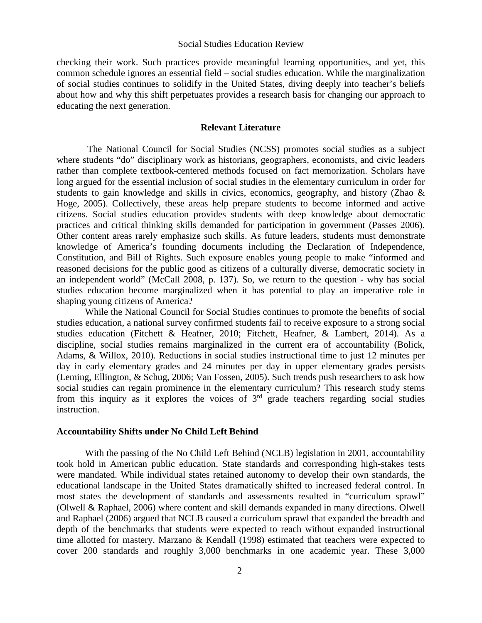checking their work. Such practices provide meaningful learning opportunities, and yet, this common schedule ignores an essential field – social studies education. While the marginalization of social studies continues to solidify in the United States, diving deeply into teacher's beliefs about how and why this shift perpetuates provides a research basis for changing our approach to educating the next generation.

### **Relevant Literature**

 The National Council for Social Studies (NCSS) promotes social studies as a subject where students "do" disciplinary work as historians, geographers, economists, and civic leaders rather than complete textbook-centered methods focused on fact memorization. Scholars have long argued for the essential inclusion of social studies in the elementary curriculum in order for students to gain knowledge and skills in civics, economics, geography, and history (Zhao & Hoge, 2005). Collectively, these areas help prepare students to become informed and active citizens. Social studies education provides students with deep knowledge about democratic practices and critical thinking skills demanded for participation in government (Passes 2006). Other content areas rarely emphasize such skills. As future leaders, students must demonstrate knowledge of America's founding documents including the Declaration of Independence, Constitution, and Bill of Rights. Such exposure enables young people to make "informed and reasoned decisions for the public good as citizens of a culturally diverse, democratic society in an independent world" (McCall 2008, p. 137). So, we return to the question - why has social studies education become marginalized when it has potential to play an imperative role in shaping young citizens of America?

While the National Council for Social Studies continues to promote the benefits of social studies education, a national survey confirmed students fail to receive exposure to a strong social studies education (Fitchett & Heafner, 2010; Fitchett, Heafner, & Lambert, 2014). As a discipline, social studies remains marginalized in the current era of accountability (Bolick, Adams, & Willox, 2010). Reductions in social studies instructional time to just 12 minutes per day in early elementary grades and 24 minutes per day in upper elementary grades persists (Leming, Ellington, & Schug, 2006; Van Fossen, 2005). Such trends push researchers to ask how social studies can regain prominence in the elementary curriculum? This research study stems from this inquiry as it explores the voices of  $3<sup>rd</sup>$  grade teachers regarding social studies instruction.

#### **Accountability Shifts under No Child Left Behind**

With the passing of the No Child Left Behind (NCLB) legislation in 2001, accountability took hold in American public education. State standards and corresponding high-stakes tests were mandated. While individual states retained autonomy to develop their own standards, the educational landscape in the United States dramatically shifted to increased federal control. In most states the development of standards and assessments resulted in "curriculum sprawl" (Olwell & Raphael, 2006) where content and skill demands expanded in many directions. Olwell and Raphael (2006) argued that NCLB caused a curriculum sprawl that expanded the breadth and depth of the benchmarks that students were expected to reach without expanded instructional time allotted for mastery. Marzano & Kendall (1998) estimated that teachers were expected to cover 200 standards and roughly 3,000 benchmarks in one academic year. These 3,000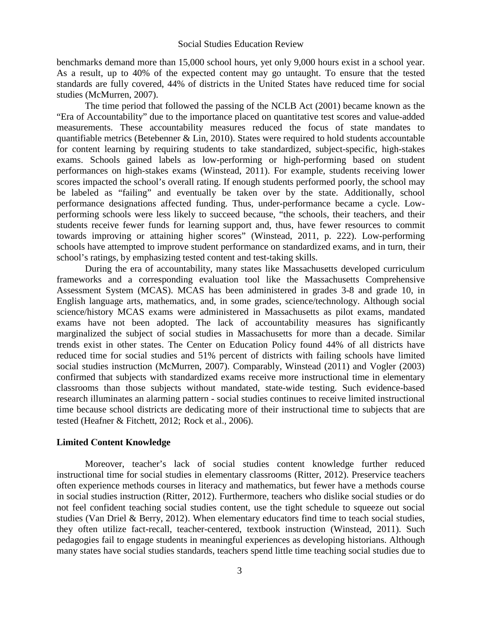benchmarks demand more than 15,000 school hours, yet only 9,000 hours exist in a school year. As a result, up to 40% of the expected content may go untaught. To ensure that the tested standards are fully covered, 44% of districts in the United States have reduced time for social studies (McMurren, 2007).

The time period that followed the passing of the NCLB Act (2001) became known as the "Era of Accountability" due to the importance placed on quantitative test scores and value-added measurements. These accountability measures reduced the focus of state mandates to quantifiable metrics (Betebenner & Lin, 2010). States were required to hold students accountable for content learning by requiring students to take standardized, subject-specific, high-stakes exams. Schools gained labels as low-performing or high-performing based on student performances on high-stakes exams (Winstead, 2011). For example, students receiving lower scores impacted the school's overall rating. If enough students performed poorly, the school may be labeled as "failing" and eventually be taken over by the state. Additionally, school performance designations affected funding. Thus, under-performance became a cycle. Lowperforming schools were less likely to succeed because, "the schools, their teachers, and their students receive fewer funds for learning support and, thus, have fewer resources to commit towards improving or attaining higher scores" (Winstead, 2011, p. 222). Low-performing schools have attempted to improve student performance on standardized exams, and in turn, their school's ratings, by emphasizing tested content and test-taking skills.

During the era of accountability, many states like Massachusetts developed curriculum frameworks and a corresponding evaluation tool like the Massachusetts Comprehensive Assessment System (MCAS). MCAS has been administered in grades 3-8 and grade 10, in English language arts, mathematics, and, in some grades, science/technology. Although social science/history MCAS exams were administered in Massachusetts as pilot exams, mandated exams have not been adopted. The lack of accountability measures has significantly marginalized the subject of social studies in Massachusetts for more than a decade. Similar trends exist in other states. The Center on Education Policy found 44% of all districts have reduced time for social studies and 51% percent of districts with failing schools have limited social studies instruction (McMurren, 2007). Comparably, Winstead (2011) and Vogler (2003) confirmed that subjects with standardized exams receive more instructional time in elementary classrooms than those subjects without mandated, state-wide testing. Such evidence-based research illuminates an alarming pattern - social studies continues to receive limited instructional time because school districts are dedicating more of their instructional time to subjects that are tested (Heafner & Fitchett, 2012; Rock et al., 2006).

# **Limited Content Knowledge**

Moreover, teacher's lack of social studies content knowledge further reduced instructional time for social studies in elementary classrooms (Ritter, 2012). Preservice teachers often experience methods courses in literacy and mathematics, but fewer have a methods course in social studies instruction (Ritter, 2012). Furthermore, teachers who dislike social studies or do not feel confident teaching social studies content, use the tight schedule to squeeze out social studies (Van Driel & Berry, 2012). When elementary educators find time to teach social studies, they often utilize fact-recall, teacher-centered, textbook instruction (Winstead, 2011). Such pedagogies fail to engage students in meaningful experiences as developing historians. Although many states have social studies standards, teachers spend little time teaching social studies due to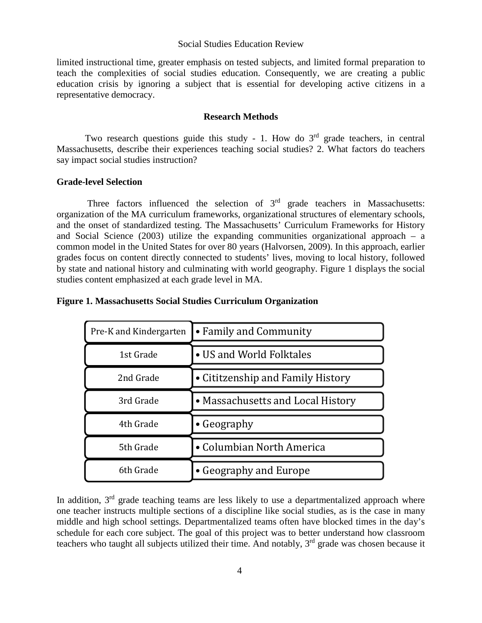limited instructional time, greater emphasis on tested subjects, and limited formal preparation to teach the complexities of social studies education. Consequently, we are creating a public education crisis by ignoring a subject that is essential for developing active citizens in a representative democracy.

### **Research Methods**

Two research questions guide this study - 1. How do 3<sup>rd</sup> grade teachers, in central Massachusetts, describe their experiences teaching social studies? 2. What factors do teachers say impact social studies instruction?

# **Grade-level Selection**

Three factors influenced the selection of  $3<sup>rd</sup>$  grade teachers in Massachusetts: organization of the MA curriculum frameworks, organizational structures of elementary schools, and the onset of standardized testing. The Massachusetts' Curriculum Frameworks for History and Social Science (2003) utilize the expanding communities organizational approach – a common model in the United States for over 80 years (Halvorsen, 2009). In this approach, earlier grades focus on content directly connected to students' lives, moving to local history, followed by state and national history and culminating with world geography. Figure 1 displays the social studies content emphasized at each grade level in MA.

#### **Figure 1. Massachusetts Social Studies Curriculum Organization**

| Pre-K and Kindergarten | • Family and Community            |  |
|------------------------|-----------------------------------|--|
| 1st Grade              | • US and World Folktales          |  |
| 2nd Grade              | • Cititzenship and Family History |  |
| 3rd Grade              | • Massachusetts and Local History |  |
| 4th Grade              | • Geography                       |  |
| 5th Grade              | • Columbian North America         |  |
| 6th Grade              | • Geography and Europe            |  |

In addition,  $3<sup>rd</sup>$  grade teaching teams are less likely to use a departmentalized approach where one teacher instructs multiple sections of a discipline like social studies, as is the case in many middle and high school settings. Departmentalized teams often have blocked times in the day's schedule for each core subject. The goal of this project was to better understand how classroom teachers who taught all subjects utilized their time. And notably,  $3<sup>rd</sup>$  grade was chosen because it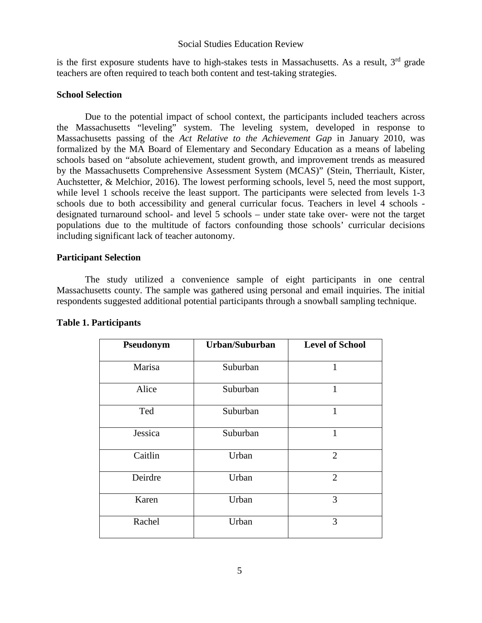is the first exposure students have to high-stakes tests in Massachusetts. As a result, 3<sup>rd</sup> grade teachers are often required to teach both content and test-taking strategies.

# **School Selection**

Due to the potential impact of school context, the participants included teachers across the Massachusetts "leveling" system. The leveling system, developed in response to Massachusetts passing of the *Act Relative to the Achievement Gap* in January 2010*,* was formalized by the MA Board of Elementary and Secondary Education as a means of labeling schools based on "absolute achievement, student growth, and improvement trends as measured by the Massachusetts Comprehensive Assessment System (MCAS)" (Stein, Therriault, Kister, Auchstetter, & Melchior, 2016). The lowest performing schools, level 5, need the most support, while level 1 schools receive the least support. The participants were selected from levels 1-3 schools due to both accessibility and general curricular focus. Teachers in level 4 schools designated turnaround school- and level 5 schools – under state take over- were not the target populations due to the multitude of factors confounding those schools' curricular decisions including significant lack of teacher autonomy.

# **Participant Selection**

The study utilized a convenience sample of eight participants in one central Massachusetts county. The sample was gathered using personal and email inquiries. The initial respondents suggested additional potential participants through a snowball sampling technique.

| Pseudonym | Urban/Suburban | <b>Level of School</b> |
|-----------|----------------|------------------------|
| Marisa    | Suburban       | 1                      |
| Alice     | Suburban       | $\mathbf{1}$           |
| Ted       | Suburban       | $\mathbf{1}$           |
| Jessica   | Suburban       | 1                      |
| Caitlin   | Urban          | $\overline{2}$         |
| Deirdre   | Urban          | $\overline{2}$         |
| Karen     | Urban          | 3                      |
| Rachel    | Urban          | 3                      |

# **Table 1. Participants**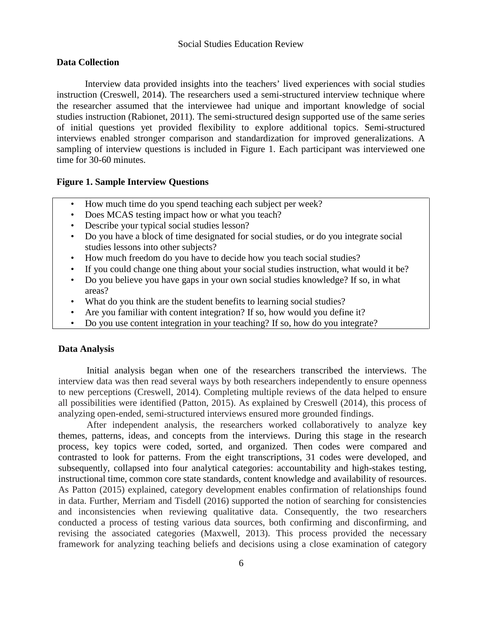#### **Data Collection**

Interview data provided insights into the teachers' lived experiences with social studies instruction (Creswell, 2014). The researchers used a semi-structured interview technique where the researcher assumed that the interviewee had unique and important knowledge of social studies instruction (Rabionet, 2011). The semi-structured design supported use of the same series of initial questions yet provided flexibility to explore additional topics. Semi-structured interviews enabled stronger comparison and standardization for improved generalizations. A sampling of interview questions is included in Figure 1. Each participant was interviewed one time for 30-60 minutes.

#### **Figure 1. Sample Interview Questions**

- How much time do you spend teaching each subject per week?
- Does MCAS testing impact how or what you teach?
- Describe your typical social studies lesson?
- Do you have a block of time designated for social studies, or do you integrate social studies lessons into other subjects?
- How much freedom do you have to decide how you teach social studies?
- If you could change one thing about your social studies instruction, what would it be?
- Do you believe you have gaps in your own social studies knowledge? If so, in what areas?
- What do you think are the student benefits to learning social studies?
- Are you familiar with content integration? If so, how would you define it?
- Do you use content integration in your teaching? If so, how do you integrate?

#### **Data Analysis**

Initial analysis began when one of the researchers transcribed the interviews. The interview data was then read several ways by both researchers independently to ensure openness to new perceptions (Creswell, 2014). Completing multiple reviews of the data helped to ensure all possibilities were identified (Patton, 2015). As explained by Creswell (2014), this process of analyzing open-ended, semi-structured interviews ensured more grounded findings.

After independent analysis, the researchers worked collaboratively to analyze key themes, patterns, ideas, and concepts from the interviews. During this stage in the research process, key topics were coded, sorted, and organized. Then codes were compared and contrasted to look for patterns. From the eight transcriptions, 31 codes were developed, and subsequently, collapsed into four analytical categories: accountability and high-stakes testing, instructional time, common core state standards, content knowledge and availability of resources. As Patton (2015) explained, category development enables confirmation of relationships found in data. Further, Merriam and Tisdell (2016) supported the notion of searching for consistencies and inconsistencies when reviewing qualitative data. Consequently, the two researchers conducted a process of testing various data sources, both confirming and disconfirming, and revising the associated categories (Maxwell, 2013). This process provided the necessary framework for analyzing teaching beliefs and decisions using a close examination of category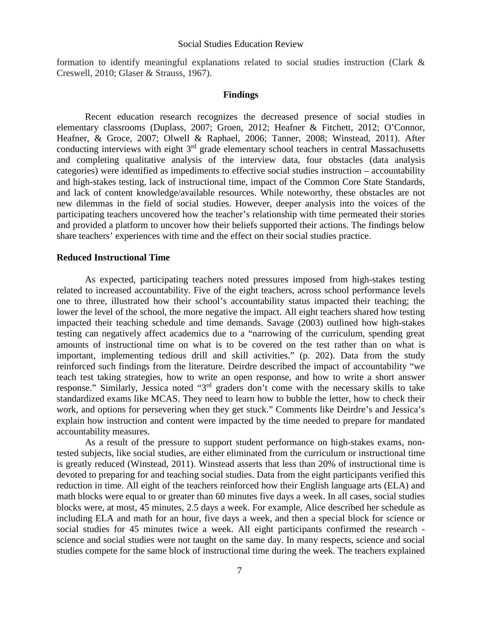formation to identify meaningful explanations related to social studies instruction (Clark & Creswell, 2010; Glaser & Strauss, 1967).

#### **Findings**

Recent education research recognizes the decreased presence of social studies in elementary classrooms (Duplass, 2007; Groen, 2012; Heafner & Fitchett, 2012; O'Connor, Heafner, & Groce, 2007; Olwell & Raphael, 2006; Tanner, 2008; Winstead, 2011). After conducting interviews with eight 3<sup>rd</sup> grade elementary school teachers in central Massachusetts and completing qualitative analysis of the interview data, four obstacles (data analysis categories) were identified as impediments to effective social studies instruction – accountability and high-stakes testing, lack of instructional time, impact of the Common Core State Standards, and lack of content knowledge/available resources. While noteworthy, these obstacles are not new dilemmas in the field of social studies. However, deeper analysis into the voices of the participating teachers uncovered how the teacher's relationship with time permeated their stories and provided a platform to uncover how their beliefs supported their actions. The findings below share teachers' experiences with time and the effect on their social studies practice.

#### **Reduced Instructional Time**

As expected, participating teachers noted pressures imposed from high-stakes testing related to increased accountability. Five of the eight teachers, across school performance levels one to three, illustrated how their school's accountability status impacted their teaching; the lower the level of the school, the more negative the impact. All eight teachers shared how testing impacted their teaching schedule and time demands. Savage (2003) outlined how high-stakes testing can negatively affect academics due to a "narrowing of the curriculum, spending great amounts of instructional time on what is to be covered on the test rather than on what is important, implementing tedious drill and skill activities." (p. 202). Data from the study reinforced such findings from the literature. Deirdre described the impact of accountability "we teach test taking strategies, how to write an open response, and how to write a short answer response." Similarly, Jessica noted "3rd graders don't come with the necessary skills to take standardized exams like MCAS. They need to learn how to bubble the letter, how to check their work, and options for persevering when they get stuck." Comments like Deirdre's and Jessica's explain how instruction and content were impacted by the time needed to prepare for mandated accountability measures.

As a result of the pressure to support student performance on high-stakes exams, nontested subjects, like social studies, are either eliminated from the curriculum or instructional time is greatly reduced (Winstead, 2011). Winstead asserts that less than 20% of instructional time is devoted to preparing for and teaching social studies. Data from the eight participants verified this reduction in time. All eight of the teachers reinforced how their English language arts (ELA) and math blocks were equal to or greater than 60 minutes five days a week. In all cases, social studies blocks were, at most, 45 minutes, 2.5 days a week. For example, Alice described her schedule as including ELA and math for an hour, five days a week, and then a special block for science or social studies for 45 minutes twice a week. All eight participants confirmed the research science and social studies were not taught on the same day. In many respects, science and social studies compete for the same block of instructional time during the week. The teachers explained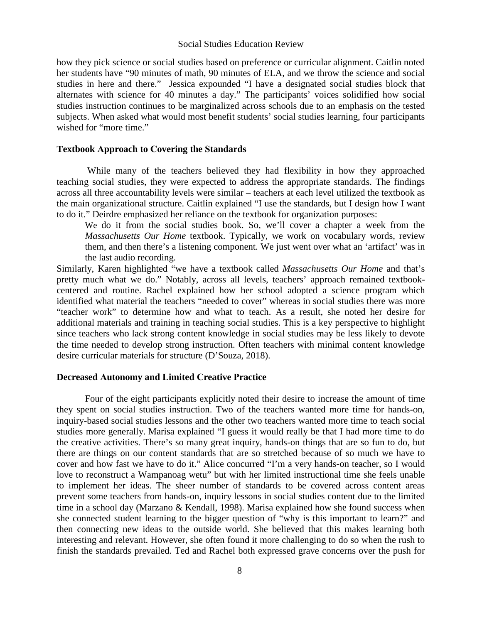how they pick science or social studies based on preference or curricular alignment. Caitlin noted her students have "90 minutes of math, 90 minutes of ELA, and we throw the science and social studies in here and there." Jessica expounded "I have a designated social studies block that alternates with science for 40 minutes a day." The participants' voices solidified how social studies instruction continues to be marginalized across schools due to an emphasis on the tested subjects. When asked what would most benefit students' social studies learning, four participants wished for "more time."

#### **Textbook Approach to Covering the Standards**

 While many of the teachers believed they had flexibility in how they approached teaching social studies, they were expected to address the appropriate standards. The findings across all three accountability levels were similar – teachers at each level utilized the textbook as the main organizational structure. Caitlin explained "I use the standards, but I design how I want to do it." Deirdre emphasized her reliance on the textbook for organization purposes:

We do it from the social studies book. So, we'll cover a chapter a week from the *Massachusetts Our Home* textbook. Typically, we work on vocabulary words, review them, and then there's a listening component. We just went over what an 'artifact' was in the last audio recording.

Similarly, Karen highlighted "we have a textbook called *Massachusetts Our Home* and that's pretty much what we do." Notably, across all levels, teachers' approach remained textbookcentered and routine. Rachel explained how her school adopted a science program which identified what material the teachers "needed to cover" whereas in social studies there was more "teacher work" to determine how and what to teach. As a result, she noted her desire for additional materials and training in teaching social studies. This is a key perspective to highlight since teachers who lack strong content knowledge in social studies may be less likely to devote the time needed to develop strong instruction. Often teachers with minimal content knowledge desire curricular materials for structure (D'Souza, 2018).

#### **Decreased Autonomy and Limited Creative Practice**

Four of the eight participants explicitly noted their desire to increase the amount of time they spent on social studies instruction. Two of the teachers wanted more time for hands-on, inquiry-based social studies lessons and the other two teachers wanted more time to teach social studies more generally. Marisa explained "I guess it would really be that I had more time to do the creative activities. There's so many great inquiry, hands-on things that are so fun to do, but there are things on our content standards that are so stretched because of so much we have to cover and how fast we have to do it." Alice concurred "I'm a very hands-on teacher, so I would love to reconstruct a Wampanoag wetu" but with her limited instructional time she feels unable to implement her ideas. The sheer number of standards to be covered across content areas prevent some teachers from hands-on, inquiry lessons in social studies content due to the limited time in a school day (Marzano & Kendall, 1998). Marisa explained how she found success when she connected student learning to the bigger question of "why is this important to learn?" and then connecting new ideas to the outside world. She believed that this makes learning both interesting and relevant. However, she often found it more challenging to do so when the rush to finish the standards prevailed. Ted and Rachel both expressed grave concerns over the push for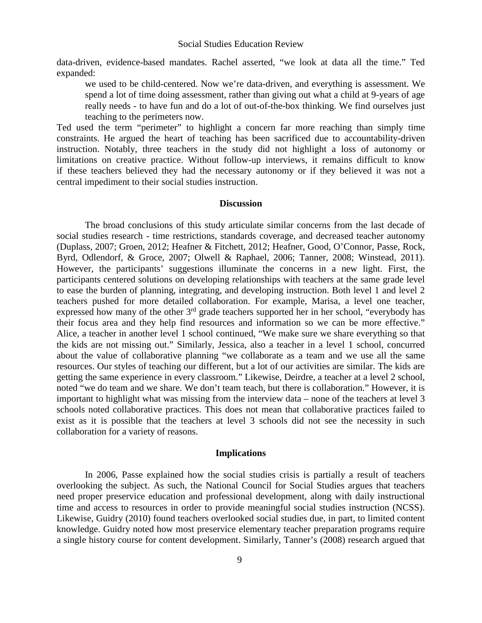data-driven, evidence-based mandates. Rachel asserted, "we look at data all the time." Ted expanded:

we used to be child-centered. Now we're data-driven, and everything is assessment. We spend a lot of time doing assessment, rather than giving out what a child at 9-years of age really needs - to have fun and do a lot of out-of-the-box thinking. We find ourselves just teaching to the perimeters now.

Ted used the term "perimeter" to highlight a concern far more reaching than simply time constraints. He argued the heart of teaching has been sacrificed due to accountability-driven instruction. Notably, three teachers in the study did not highlight a loss of autonomy or limitations on creative practice. Without follow-up interviews, it remains difficult to know if these teachers believed they had the necessary autonomy or if they believed it was not a central impediment to their social studies instruction.

#### **Discussion**

The broad conclusions of this study articulate similar concerns from the last decade of social studies research - time restrictions, standards coverage, and decreased teacher autonomy (Duplass, 2007; Groen, 2012; Heafner & Fitchett, 2012; Heafner, Good, O'Connor, Passe, Rock, Byrd, Odlendorf, & Groce, 2007; Olwell & Raphael, 2006; Tanner, 2008; Winstead, 2011). However, the participants' suggestions illuminate the concerns in a new light. First, the participants centered solutions on developing relationships with teachers at the same grade level to ease the burden of planning, integrating, and developing instruction. Both level 1 and level 2 teachers pushed for more detailed collaboration. For example, Marisa, a level one teacher, expressed how many of the other 3<sup>rd</sup> grade teachers supported her in her school, "everybody has their focus area and they help find resources and information so we can be more effective." Alice, a teacher in another level 1 school continued, "We make sure we share everything so that the kids are not missing out." Similarly, Jessica, also a teacher in a level 1 school, concurred about the value of collaborative planning "we collaborate as a team and we use all the same resources. Our styles of teaching our different, but a lot of our activities are similar. The kids are getting the same experience in every classroom." Likewise, Deirdre, a teacher at a level 2 school, noted "we do team and we share. We don't team teach, but there is collaboration." However, it is important to highlight what was missing from the interview data – none of the teachers at level 3 schools noted collaborative practices. This does not mean that collaborative practices failed to exist as it is possible that the teachers at level 3 schools did not see the necessity in such collaboration for a variety of reasons.

#### **Implications**

In 2006, Passe explained how the social studies crisis is partially a result of teachers overlooking the subject. As such, the National Council for Social Studies argues that teachers need proper preservice education and professional development, along with daily instructional time and access to resources in order to provide meaningful social studies instruction (NCSS). Likewise, Guidry (2010) found teachers overlooked social studies due, in part, to limited content knowledge. Guidry noted how most preservice elementary teacher preparation programs require a single history course for content development. Similarly, Tanner's (2008) research argued that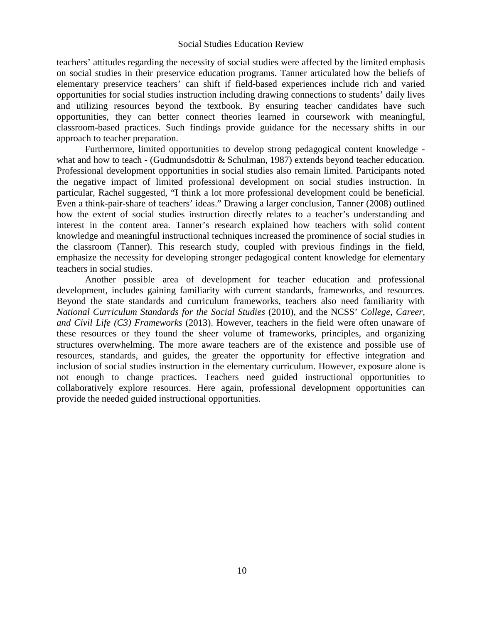teachers' attitudes regarding the necessity of social studies were affected by the limited emphasis on social studies in their preservice education programs. Tanner articulated how the beliefs of elementary preservice teachers' can shift if field-based experiences include rich and varied opportunities for social studies instruction including drawing connections to students' daily lives and utilizing resources beyond the textbook. By ensuring teacher candidates have such opportunities, they can better connect theories learned in coursework with meaningful, classroom-based practices. Such findings provide guidance for the necessary shifts in our approach to teacher preparation.

Furthermore, limited opportunities to develop strong pedagogical content knowledge what and how to teach - (Gudmundsdottir & Schulman, 1987) extends beyond teacher education. Professional development opportunities in social studies also remain limited. Participants noted the negative impact of limited professional development on social studies instruction. In particular, Rachel suggested, "I think a lot more professional development could be beneficial. Even a think-pair-share of teachers' ideas." Drawing a larger conclusion, Tanner (2008) outlined how the extent of social studies instruction directly relates to a teacher's understanding and interest in the content area. Tanner's research explained how teachers with solid content knowledge and meaningful instructional techniques increased the prominence of social studies in the classroom (Tanner). This research study, coupled with previous findings in the field, emphasize the necessity for developing stronger pedagogical content knowledge for elementary teachers in social studies.

Another possible area of development for teacher education and professional development, includes gaining familiarity with current standards, frameworks, and resources. Beyond the state standards and curriculum frameworks, teachers also need familiarity with *National Curriculum Standards for the Social Studies* (2010), and the NCSS' *College, Career, and Civil Life (C3) Frameworks* (2013). However, teachers in the field were often unaware of these resources or they found the sheer volume of frameworks, principles, and organizing structures overwhelming. The more aware teachers are of the existence and possible use of resources, standards, and guides, the greater the opportunity for effective integration and inclusion of social studies instruction in the elementary curriculum. However, exposure alone is not enough to change practices. Teachers need guided instructional opportunities to collaboratively explore resources. Here again, professional development opportunities can provide the needed guided instructional opportunities.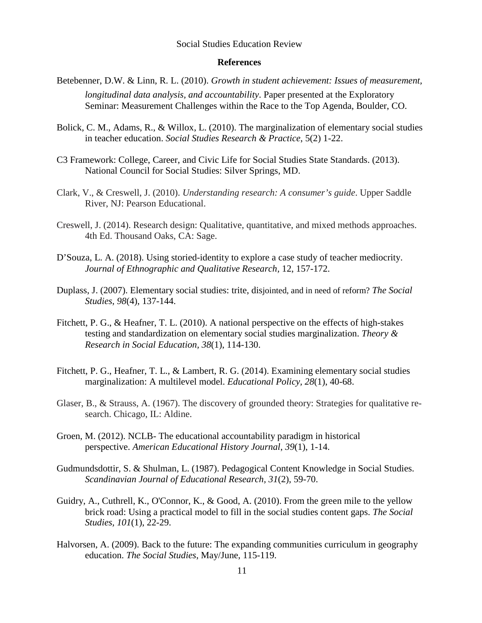#### **References**

- Betebenner, D.W. & Linn, R. L. (2010). *Growth in student achievement: Issues of measurement, longitudinal data analysis, and accountability*. Paper presented at the Exploratory Seminar: Measurement Challenges within the Race to the Top Agenda, Boulder, CO.
- Bolick, C. M., Adams, R., & Willox, L. (2010). The marginalization of elementary social studies in teacher education. *Social Studies Research & Practice*, 5(2) 1-22.
- C3 Framework: College, Career, and Civic Life for Social Studies State Standards. (2013). National Council for Social Studies: Silver Springs, MD.
- Clark, V., & Creswell, J. (2010). *Understanding research: A consumer's guide*. Upper Saddle River, NJ: Pearson Educational.
- Creswell, J. (2014). Research design: Qualitative, quantitative, and mixed methods approaches. 4th Ed. Thousand Oaks, CA: Sage.
- D'Souza, L. A. (2018). Using storied-identity to explore a case study of teacher mediocrity. *Journal of Ethnographic and Qualitative Research,* 12, 157-172.
- Duplass, J. (2007). Elementary social studies: trite, disjointed, and in need of reform? *The Social Studies*, *98*(4), 137-144.
- Fitchett, P. G., & Heafner, T. L. (2010). A national perspective on the effects of high-stakes testing and standardization on elementary social studies marginalization. *Theory & Research in Social Education, 38*(1), 114-130.
- Fitchett, P. G., Heafner, T. L., & Lambert, R. G. (2014). Examining elementary social studies marginalization: A multilevel model. *Educational Policy, 28*(1), 40-68.
- Glaser, B., & Strauss, A. (1967). The discovery of grounded theory: Strategies for qualitative research. Chicago, IL: Aldine.
- Groen, M. (2012). NCLB- The educational accountability paradigm in historical perspective. *American Educational History Journal*, *39*(1), 1-14.
- Gudmundsdottir, S. & Shulman, L. (1987). Pedagogical Content Knowledge in Social Studies. *Scandinavian Journal of Educational Research, 31*(2), 59-70.
- Guidry, A., Cuthrell, K., O'Connor, K., & Good, A. (2010). From the green mile to the yellow brick road: Using a practical model to fill in the social studies content gaps. *The Social Studies, 101*(1), 22-29.
- Halvorsen, A. (2009). Back to the future: The expanding communities curriculum in geography education. *The Social Studies*, May/June, 115-119.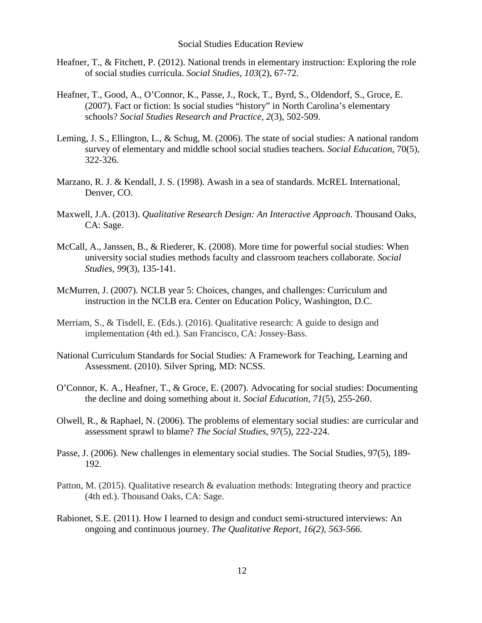- Heafner, T., & Fitchett, P. (2012). National trends in elementary instruction: Exploring the role of social studies curricula. *Social Studies*, *103*(2), 67-72.
- Heafner, T., Good, A., O'Connor, K., Passe, J., Rock, T., Byrd, S., Oldendorf, S., Groce, E. (2007). Fact or fiction: Is social studies "history" in North Carolina's elementary schools? *Social Studies Research and Practice, 2*(3), 502-509.
- Leming, J. S., Ellington, L., & Schug, M. (2006). The state of social studies: A national random survey of elementary and middle school social studies teachers. *Social Education*, 70(5), 322-326.
- Marzano, R. J. & Kendall, J. S. (1998). Awash in a sea of standards. McREL International, Denver, CO.
- Maxwell, J.A. (2013). *Qualitative Research Design: An Interactive Approach*. Thousand Oaks, CA: Sage.
- McCall, A., Janssen, B., & Riederer, K. (2008). More time for powerful social studies: When university social studies methods faculty and classroom teachers collaborate. *Social Studies*, *99*(3), 135-141.
- McMurren, J. (2007). NCLB year 5: Choices, changes, and challenges: Curriculum and instruction in the NCLB era. Center on Education Policy, Washington, D.C.
- Merriam, S., & Tisdell, E. (Eds.). (2016). Qualitative research: A guide to design and implementation (4th ed.). San Francisco, CA: Jossey-Bass.
- National Curriculum Standards for Social Studies: A Framework for Teaching, Learning and Assessment. (2010). Silver Spring, MD: NCSS.
- O'Connor, K. A., Heafner, T., & Groce, E. (2007). Advocating for social studies: Documenting the decline and doing something about it. *Social Education, 71*(5), 255-260.
- Olwell, R., & Raphael, N. (2006). The problems of elementary social studies: are curricular and assessment sprawl to blame? *The Social Studies*, *97*(5), 222-224.
- Passe, J. (2006). New challenges in elementary social studies. The Social Studies, 97(5), 189- 192.
- Patton, M. (2015). Qualitative research & evaluation methods: Integrating theory and practice (4th ed.). Thousand Oaks, CA: Sage.
- Rabionet, S.E. (2011). How I learned to design and conduct semi-structured interviews: An ongoing and continuous journey. *The Qualitative Report, 16(2), 563-566.*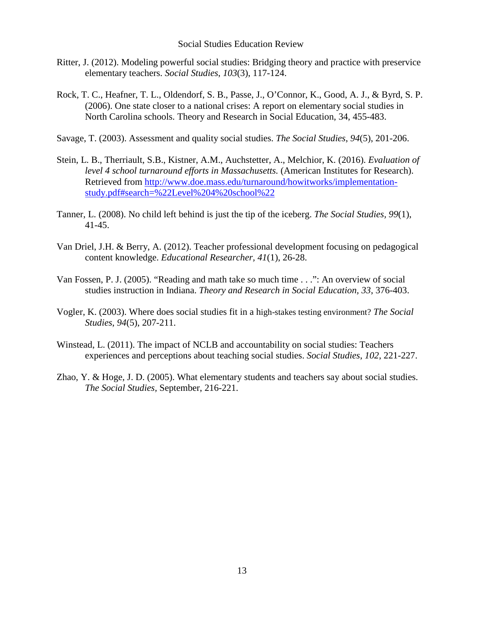- Ritter, J. (2012). Modeling powerful social studies: Bridging theory and practice with preservice elementary teachers. *Social Studies*, *103*(3), 117-124.
- Rock, T. C., Heafner, T. L., Oldendorf, S. B., Passe, J., O'Connor, K., Good, A. J., & Byrd, S. P. (2006). One state closer to a national crises: A report on elementary social studies in North Carolina schools. Theory and Research in Social Education, 34, 455-483.
- Savage, T. (2003). Assessment and quality social studies. *The Social Studies*, *94*(5), 201-206.
- Stein, L. B., Therriault, S.B., Kistner, A.M., Auchstetter, A., Melchior, K. (2016). *Evaluation of level 4 school turnaround efforts in Massachusetts.* (American Institutes for Research). Retrieved from [http://www.doe.mass.edu/turnaround/howitworks/implementation](http://www.doe.mass.edu/turnaround/howitworks/implementation-study.pdf#search=%22Level%204%20school%22)[study.pdf#search=%22Level%204%20school%22](http://www.doe.mass.edu/turnaround/howitworks/implementation-study.pdf#search=%22Level%204%20school%22)
- Tanner, L. (2008). No child left behind is just the tip of the iceberg. *The Social Studies, 99*(1), 41-45.
- Van Driel, J.H. & Berry, A. (2012). Teacher professional development focusing on pedagogical content knowledge. *Educational Researcher, 41*(1), 26-28.
- Van Fossen, P. J. (2005). "Reading and math take so much time . . .": An overview of social studies instruction in Indiana. *Theory and Research in Social Education, 33*, 376-403.
- Vogler, K. (2003). Where does social studies fit in a high-stakes testing environment? *The Social Studies*, *94*(5), 207-211.
- Winstead, L. (2011). The impact of NCLB and accountability on social studies: Teachers experiences and perceptions about teaching social studies. *Social Studies*, *102*, 221-227.
- Zhao, Y. & Hoge, J. D. (2005). What elementary students and teachers say about social studies. *The Social Studies,* September, 216-221.